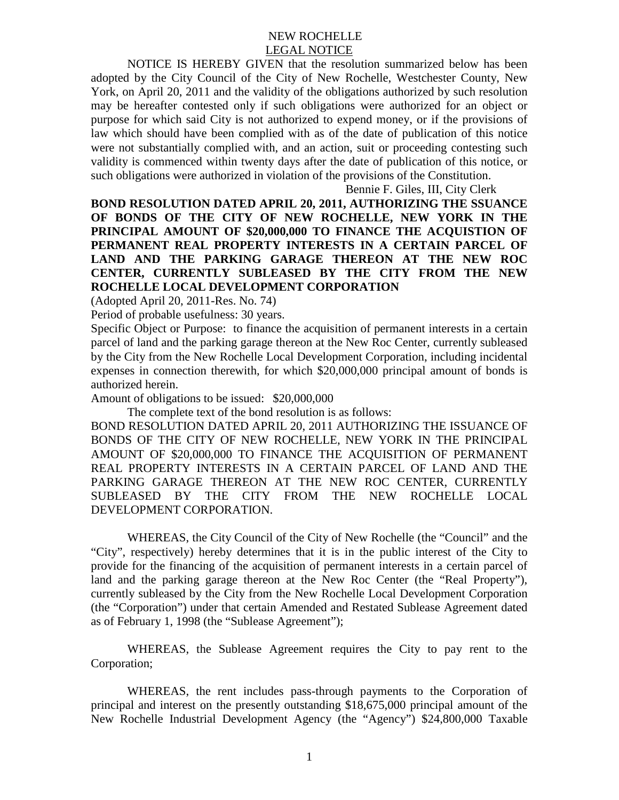## NEW ROCHELLE LEGAL NOTICE

NOTICE IS HEREBY GIVEN that the resolution summarized below has been adopted by the City Council of the City of New Rochelle, Westchester County, New York, on April 20, 2011 and the validity of the obligations authorized by such resolution may be hereafter contested only if such obligations were authorized for an object or purpose for which said City is not authorized to expend money, or if the provisions of law which should have been complied with as of the date of publication of this notice were not substantially complied with, and an action, suit or proceeding contesting such validity is commenced within twenty days after the date of publication of this notice, or such obligations were authorized in violation of the provisions of the Constitution.

Bennie F. Giles, III, City Clerk

**BOND RESOLUTION DATED APRIL 20, 2011, AUTHORIZING THE SSUANCE OF BONDS OF THE CITY OF NEW ROCHELLE, NEW YORK IN THE PRINCIPAL AMOUNT OF \$20,000,000 TO FINANCE THE ACQUISTION OF PERMANENT REAL PROPERTY INTERESTS IN A CERTAIN PARCEL OF LAND AND THE PARKING GARAGE THEREON AT THE NEW ROC CENTER, CURRENTLY SUBLEASED BY THE CITY FROM THE NEW ROCHELLE LOCAL DEVELOPMENT CORPORATION** 

(Adopted April 20, 2011-Res. No. 74)

Period of probable usefulness: 30 years.

Specific Object or Purpose: to finance the acquisition of permanent interests in a certain parcel of land and the parking garage thereon at the New Roc Center, currently subleased by the City from the New Rochelle Local Development Corporation, including incidental expenses in connection therewith, for which \$20,000,000 principal amount of bonds is authorized herein.

Amount of obligations to be issued: \$20,000,000

The complete text of the bond resolution is as follows:

BOND RESOLUTION DATED APRIL 20, 2011 AUTHORIZING THE ISSUANCE OF BONDS OF THE CITY OF NEW ROCHELLE, NEW YORK IN THE PRINCIPAL AMOUNT OF \$20,000,000 TO FINANCE THE ACQUISITION OF PERMANENT REAL PROPERTY INTERESTS IN A CERTAIN PARCEL OF LAND AND THE PARKING GARAGE THEREON AT THE NEW ROC CENTER, CURRENTLY SUBLEASED BY THE CITY FROM THE NEW ROCHELLE LOCAL DEVELOPMENT CORPORATION.

WHEREAS, the City Council of the City of New Rochelle (the "Council" and the "City", respectively) hereby determines that it is in the public interest of the City to provide for the financing of the acquisition of permanent interests in a certain parcel of land and the parking garage thereon at the New Roc Center (the "Real Property"), currently subleased by the City from the New Rochelle Local Development Corporation (the "Corporation") under that certain Amended and Restated Sublease Agreement dated as of February 1, 1998 (the "Sublease Agreement");

WHEREAS, the Sublease Agreement requires the City to pay rent to the Corporation;

WHEREAS, the rent includes pass-through payments to the Corporation of principal and interest on the presently outstanding \$18,675,000 principal amount of the New Rochelle Industrial Development Agency (the "Agency") \$24,800,000 Taxable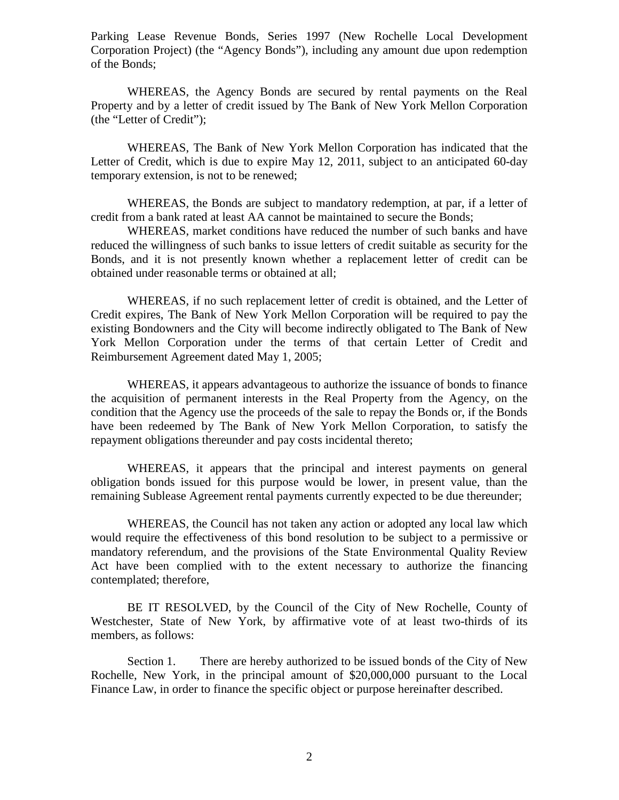Parking Lease Revenue Bonds, Series 1997 (New Rochelle Local Development Corporation Project) (the "Agency Bonds"), including any amount due upon redemption of the Bonds;

WHEREAS, the Agency Bonds are secured by rental payments on the Real Property and by a letter of credit issued by The Bank of New York Mellon Corporation (the "Letter of Credit");

WHEREAS, The Bank of New York Mellon Corporation has indicated that the Letter of Credit, which is due to expire May 12, 2011, subject to an anticipated 60-day temporary extension, is not to be renewed;

WHEREAS, the Bonds are subject to mandatory redemption, at par, if a letter of credit from a bank rated at least AA cannot be maintained to secure the Bonds;

WHEREAS, market conditions have reduced the number of such banks and have reduced the willingness of such banks to issue letters of credit suitable as security for the Bonds, and it is not presently known whether a replacement letter of credit can be obtained under reasonable terms or obtained at all;

WHEREAS, if no such replacement letter of credit is obtained, and the Letter of Credit expires, The Bank of New York Mellon Corporation will be required to pay the existing Bondowners and the City will become indirectly obligated to The Bank of New York Mellon Corporation under the terms of that certain Letter of Credit and Reimbursement Agreement dated May 1, 2005;

WHEREAS, it appears advantageous to authorize the issuance of bonds to finance the acquisition of permanent interests in the Real Property from the Agency, on the condition that the Agency use the proceeds of the sale to repay the Bonds or, if the Bonds have been redeemed by The Bank of New York Mellon Corporation, to satisfy the repayment obligations thereunder and pay costs incidental thereto;

WHEREAS, it appears that the principal and interest payments on general obligation bonds issued for this purpose would be lower, in present value, than the remaining Sublease Agreement rental payments currently expected to be due thereunder;

WHEREAS, the Council has not taken any action or adopted any local law which would require the effectiveness of this bond resolution to be subject to a permissive or mandatory referendum, and the provisions of the State Environmental Quality Review Act have been complied with to the extent necessary to authorize the financing contemplated; therefore,

BE IT RESOLVED, by the Council of the City of New Rochelle, County of Westchester, State of New York, by affirmative vote of at least two-thirds of its members, as follows:

Section 1. There are hereby authorized to be issued bonds of the City of New Rochelle, New York, in the principal amount of \$20,000,000 pursuant to the Local Finance Law, in order to finance the specific object or purpose hereinafter described.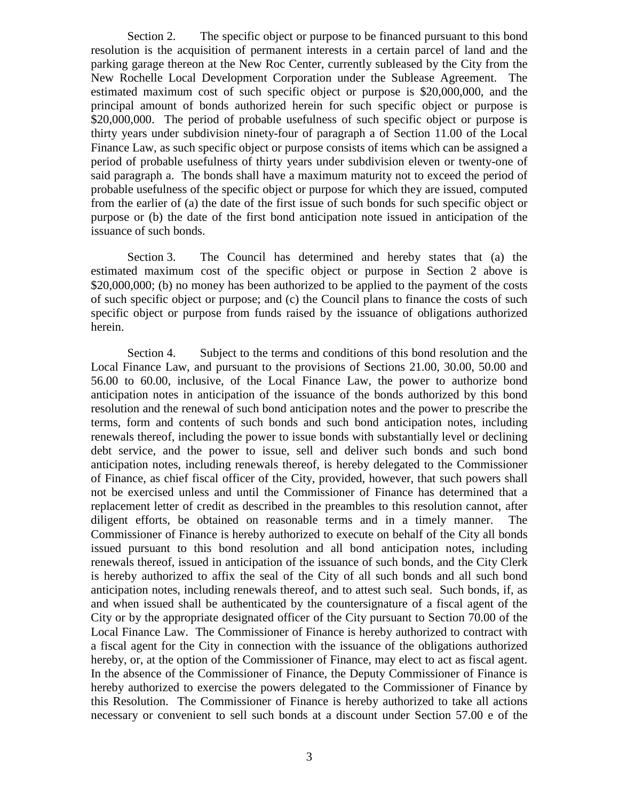Section 2. The specific object or purpose to be financed pursuant to this bond resolution is the acquisition of permanent interests in a certain parcel of land and the parking garage thereon at the New Roc Center, currently subleased by the City from the New Rochelle Local Development Corporation under the Sublease Agreement. The estimated maximum cost of such specific object or purpose is \$20,000,000, and the principal amount of bonds authorized herein for such specific object or purpose is \$20,000,000. The period of probable usefulness of such specific object or purpose is thirty years under subdivision ninety-four of paragraph a of Section 11.00 of the Local Finance Law, as such specific object or purpose consists of items which can be assigned a period of probable usefulness of thirty years under subdivision eleven or twenty-one of said paragraph a. The bonds shall have a maximum maturity not to exceed the period of probable usefulness of the specific object or purpose for which they are issued, computed from the earlier of (a) the date of the first issue of such bonds for such specific object or purpose or (b) the date of the first bond anticipation note issued in anticipation of the issuance of such bonds.

Section 3. The Council has determined and hereby states that (a) the estimated maximum cost of the specific object or purpose in Section 2 above is \$20,000,000; (b) no money has been authorized to be applied to the payment of the costs of such specific object or purpose; and (c) the Council plans to finance the costs of such specific object or purpose from funds raised by the issuance of obligations authorized herein.

Section 4. Subject to the terms and conditions of this bond resolution and the Local Finance Law, and pursuant to the provisions of Sections 21.00, 30.00, 50.00 and 56.00 to 60.00, inclusive, of the Local Finance Law, the power to authorize bond anticipation notes in anticipation of the issuance of the bonds authorized by this bond resolution and the renewal of such bond anticipation notes and the power to prescribe the terms, form and contents of such bonds and such bond anticipation notes, including renewals thereof, including the power to issue bonds with substantially level or declining debt service, and the power to issue, sell and deliver such bonds and such bond anticipation notes, including renewals thereof, is hereby delegated to the Commissioner of Finance, as chief fiscal officer of the City, provided, however, that such powers shall not be exercised unless and until the Commissioner of Finance has determined that a replacement letter of credit as described in the preambles to this resolution cannot, after diligent efforts, be obtained on reasonable terms and in a timely manner. The Commissioner of Finance is hereby authorized to execute on behalf of the City all bonds issued pursuant to this bond resolution and all bond anticipation notes, including renewals thereof, issued in anticipation of the issuance of such bonds, and the City Clerk is hereby authorized to affix the seal of the City of all such bonds and all such bond anticipation notes, including renewals thereof, and to attest such seal. Such bonds, if, as and when issued shall be authenticated by the countersignature of a fiscal agent of the City or by the appropriate designated officer of the City pursuant to Section 70.00 of the Local Finance Law. The Commissioner of Finance is hereby authorized to contract with a fiscal agent for the City in connection with the issuance of the obligations authorized hereby, or, at the option of the Commissioner of Finance, may elect to act as fiscal agent. In the absence of the Commissioner of Finance, the Deputy Commissioner of Finance is hereby authorized to exercise the powers delegated to the Commissioner of Finance by this Resolution. The Commissioner of Finance is hereby authorized to take all actions necessary or convenient to sell such bonds at a discount under Section 57.00 e of the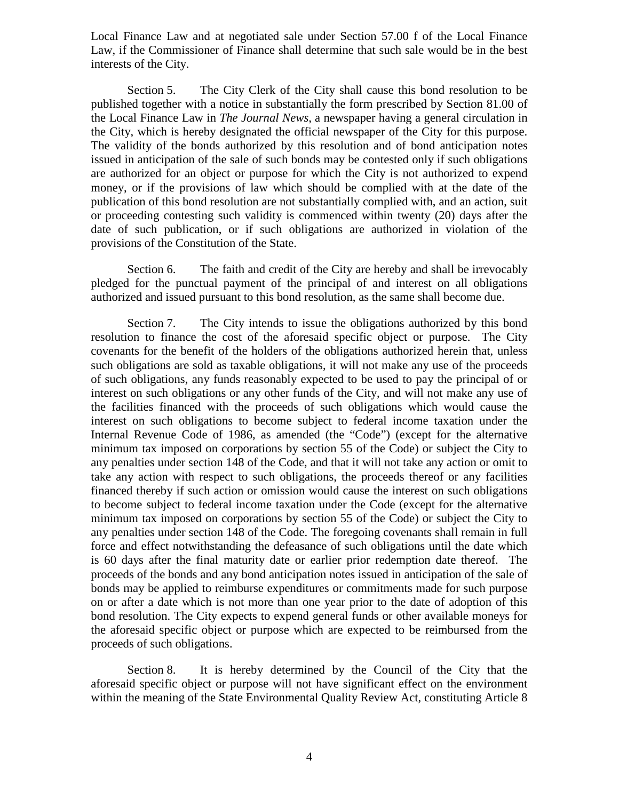Local Finance Law and at negotiated sale under Section 57.00 f of the Local Finance Law, if the Commissioner of Finance shall determine that such sale would be in the best interests of the City.

Section 5. The City Clerk of the City shall cause this bond resolution to be published together with a notice in substantially the form prescribed by Section 81.00 of the Local Finance Law in *The Journal News*, a newspaper having a general circulation in the City, which is hereby designated the official newspaper of the City for this purpose. The validity of the bonds authorized by this resolution and of bond anticipation notes issued in anticipation of the sale of such bonds may be contested only if such obligations are authorized for an object or purpose for which the City is not authorized to expend money, or if the provisions of law which should be complied with at the date of the publication of this bond resolution are not substantially complied with, and an action, suit or proceeding contesting such validity is commenced within twenty (20) days after the date of such publication, or if such obligations are authorized in violation of the provisions of the Constitution of the State.

Section 6. The faith and credit of the City are hereby and shall be irrevocably pledged for the punctual payment of the principal of and interest on all obligations authorized and issued pursuant to this bond resolution, as the same shall become due.

Section 7. The City intends to issue the obligations authorized by this bond resolution to finance the cost of the aforesaid specific object or purpose. The City covenants for the benefit of the holders of the obligations authorized herein that, unless such obligations are sold as taxable obligations, it will not make any use of the proceeds of such obligations, any funds reasonably expected to be used to pay the principal of or interest on such obligations or any other funds of the City, and will not make any use of the facilities financed with the proceeds of such obligations which would cause the interest on such obligations to become subject to federal income taxation under the Internal Revenue Code of 1986, as amended (the "Code") (except for the alternative minimum tax imposed on corporations by section 55 of the Code) or subject the City to any penalties under section 148 of the Code, and that it will not take any action or omit to take any action with respect to such obligations, the proceeds thereof or any facilities financed thereby if such action or omission would cause the interest on such obligations to become subject to federal income taxation under the Code (except for the alternative minimum tax imposed on corporations by section 55 of the Code) or subject the City to any penalties under section 148 of the Code. The foregoing covenants shall remain in full force and effect notwithstanding the defeasance of such obligations until the date which is 60 days after the final maturity date or earlier prior redemption date thereof. The proceeds of the bonds and any bond anticipation notes issued in anticipation of the sale of bonds may be applied to reimburse expenditures or commitments made for such purpose on or after a date which is not more than one year prior to the date of adoption of this bond resolution. The City expects to expend general funds or other available moneys for the aforesaid specific object or purpose which are expected to be reimbursed from the proceeds of such obligations.

Section 8. It is hereby determined by the Council of the City that the aforesaid specific object or purpose will not have significant effect on the environment within the meaning of the State Environmental Quality Review Act, constituting Article 8